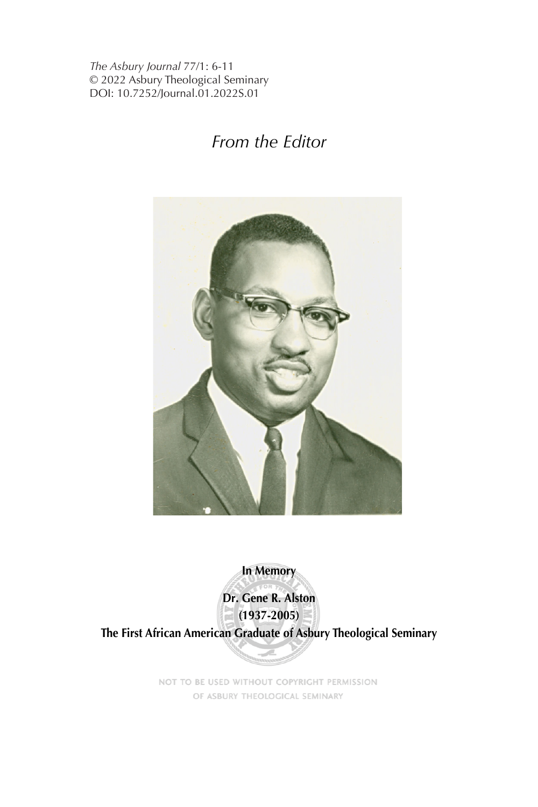*The Asbury Journal* 77/1: 6-11 © 2022 Asbury Theological Seminary DOI: 10.7252/Journal.01.2022S.01

## *From the Editor*



**In Memory**

**Dr. Gene R. Alston (1937-2005)**

**The First African American Graduate of Asbury Theological Seminary**

NOT TO BE USED WITHOUT COPYRIGHT PERMISSION OF ASBURY THEOLOGICAL SEMINARY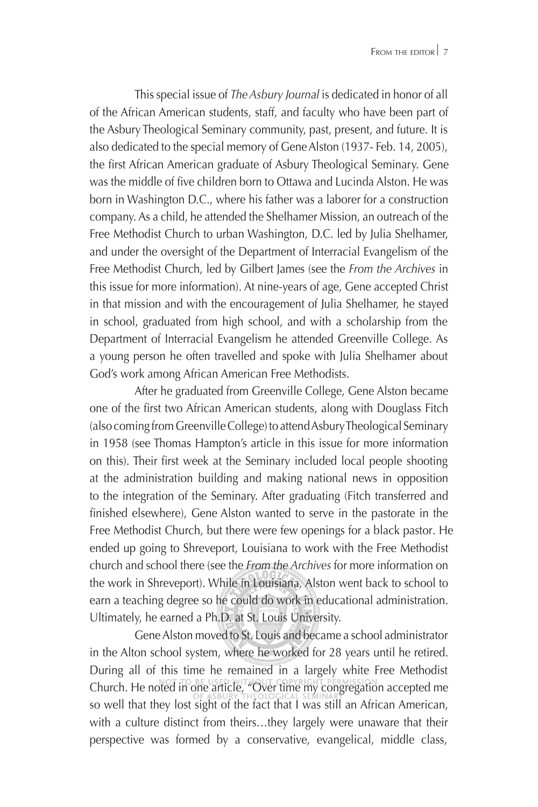This special issue of *TheAsbury Journal* is dedicated in honor of all of the African American students, staff, and faculty who have been part of the Asbury Theological Seminary community, past, present, and future. It is also dedicated to the special memory of GeneAlston (1937- Feb. 14, 2005), the first African American graduate of Asbury Theological Seminary. Gene was the middle of five children born to Ottawa and Lucinda Alston. He was born in Washington D.C., where his father was a laborer for a construction company. As a child, he attended the Shelhamer Mission, an outreach of the Free Methodist Church to urban Washington, D.C. led by Julia Shelhamer, and under the oversight of the Department of Interracial Evangelism of the Free Methodist Church, led by Gilbert James (see the *From the Archives* in this issue for more information). At nine-years of age, Gene accepted Christ in that mission and with the encouragement of Julia Shelhamer, he stayed in school, graduated from high school, and with a scholarship from the Department of Interracial Evangelism he attended Greenville College. As a young person he often travelled and spoke with Julia Shelhamer about God's work among African American Free Methodists.

After he graduated from Greenville College, Gene Alston became one of the first two African American students, along with Douglass Fitch (also coming from Greenville College) to attend Asbury Theological Seminary in 1958 (see Thomas Hampton's article in this issue for more information on this). Their first week at the Seminary included local people shooting at the administration building and making national news in opposition to the integration of the Seminary. After graduating (Fitch transferred and finished elsewhere), Gene Alston wanted to serve in the pastorate in the Free Methodist Church, but there were few openings for a black pastor. He ended up going to Shreveport, Louisiana to work with the Free Methodist church and school there (see the *From the Archives* for more information on the work in Shreveport). While in Louisiana, Alston went back to school to earn a teaching degree so he could do work in educational administration. Ultimately, he earned a Ph.D. at St. Louis University.

Gene Alston moved to St. Louis and became a school administrator in the Alton school system, where he worked for 28 years until he retired. During all of this time he remained in a largely white Free Methodist Church. He noted in one article, "Over time my congregation accepted me so well that they lost sight of the fact that I was still an African American, with a culture distinct from theirs…they largely were unaware that their perspective was formed by a conservative, evangelical, middle class,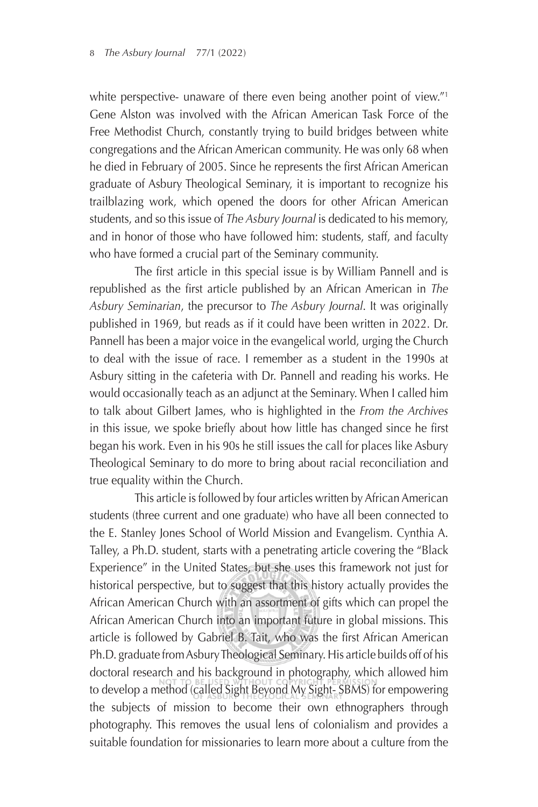white perspective- unaware of there even being another point of view."<sup>1</sup> Gene Alston was involved with the African American Task Force of the Free Methodist Church, constantly trying to build bridges between white congregations and the African American community. He was only 68 when he died in February of 2005. Since he represents the first African American graduate of Asbury Theological Seminary, it is important to recognize his trailblazing work, which opened the doors for other African American students, and so this issue of *The Asbury Journal* is dedicated to his memory, and in honor of those who have followed him: students, staff, and faculty who have formed a crucial part of the Seminary community.

The first article in this special issue is by William Pannell and is republished as the first article published by an African American in The *Asbury Seminarian*, the precursor to *The Asbury Journal*. It was originally published in 1969, but reads as if it could have been written in 2022. Dr. Pannell has been a major voice in the evangelical world, urging the Church to deal with the issue of race. I remember as a student in the 1990s at Asbury sitting in the cafeteria with Dr. Pannell and reading his works. He would occasionally teach as an adjunct at the Seminary. When I called him to talk about Gilbert James, who is highlighted in the *From the Archives* in this issue, we spoke briefly about how little has changed since he first began his work. Even in his 90s he still issues the call for places like Asbury Theological Seminary to do more to bring about racial reconciliation and true equality within the Church.

This article is followed by four articles written by African American students (three current and one graduate) who have all been connected to the E. Stanley Jones School of World Mission and Evangelism. Cynthia A. Talley, a Ph.D. student, starts with a penetrating article covering the "Black Experience" in the United States, but she uses this framework not just for historical perspective, but to suggest that this history actually provides the African American Church with an assortment of gifts which can propel the African American Church into an important future in global missions. This article is followed by Gabriel B. Tait, who was the first African American Ph.D. graduate from Asbury Theological Seminary. His article builds off of his doctoral research and his background in photography, which allowed him to develop a method (called Sight Beyond My Sight- SBMS) for empowering the subjects of mission to become their own ethnographers through photography. This removes the usual lens of colonialism and provides a suitable foundation for missionaries to learn more about a culture from the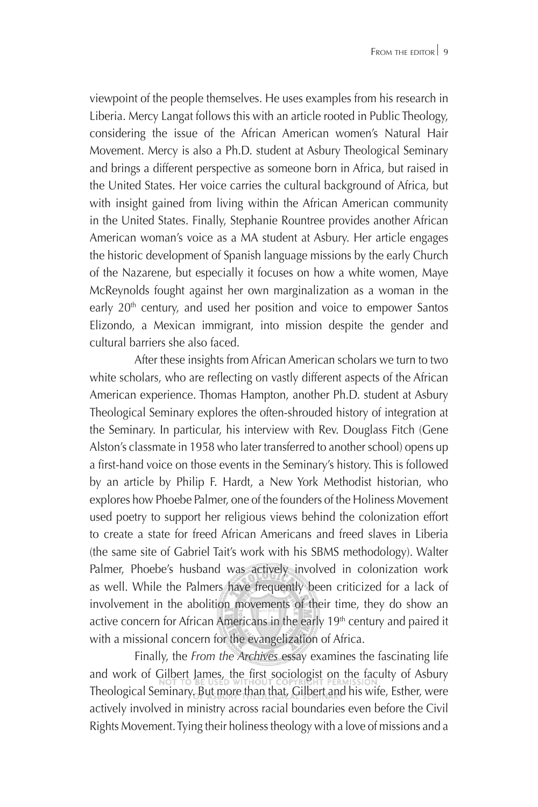viewpoint of the people themselves. He uses examples from his research in Liberia. Mercy Langat follows this with an article rooted in Public Theology, considering the issue of the African American women's Natural Hair Movement. Mercy is also a Ph.D. student at Asbury Theological Seminary and brings a different perspective as someone born in Africa, but raised in the United States. Her voice carries the cultural background of Africa, but with insight gained from living within the African American community in the United States. Finally, Stephanie Rountree provides another African American woman's voice as a MA student at Asbury. Her article engages the historic development of Spanish language missions by the early Church of the Nazarene, but especially it focuses on how a white women, Maye McReynolds fought against her own marginalization as a woman in the early  $20<sup>th</sup>$  century, and used her position and voice to empower Santos Elizondo, a Mexican immigrant, into mission despite the gender and cultural barriers she also faced.

After these insights from African American scholars we turn to two white scholars, who are reflecting on vastly different aspects of the African American experience. Thomas Hampton, another Ph.D. student at Asbury Theological Seminary explores the often-shrouded history of integration at the Seminary. In particular, his interview with Rev. Douglass Fitch (Gene Alston's classmate in 1958 who later transferred to another school) opens up a first-hand voice on those events in the Seminary's history. This is followed by an article by Philip F. Hardt, a New York Methodist historian, who explores how Phoebe Palmer, one of the founders of the Holiness Movement used poetry to support her religious views behind the colonization effort to create a state for freed African Americans and freed slaves in Liberia (the same site of Gabriel Tait's work with his SBMS methodology). Walter Palmer, Phoebe's husband was actively involved in colonization work as well. While the Palmers have frequently been criticized for a lack of involvement in the abolition movements of their time, they do show an active concern for African Americans in the early 19<sup>th</sup> century and paired it with a missional concern for the evangelization of Africa.

Finally, the *From the Archives* essay examines the fascinating life and work of Gilbert James, the first sociologist on the faculty of Asbury Theological Seminary. But more than that, Gilbert and his wife, Esther, were actively involved in ministry across racial boundaries even before the Civil Rights Movement. Tying their holiness theology with a love of missions and a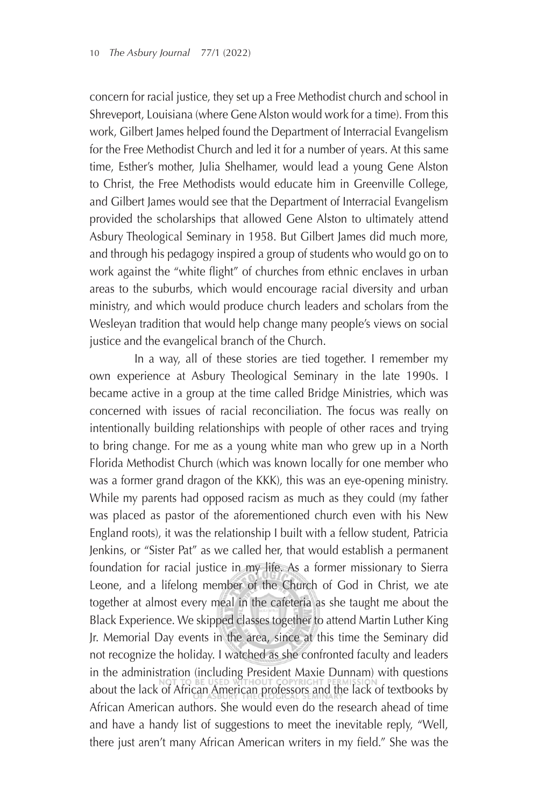concern for racial justice, they set up a Free Methodist church and school in Shreveport, Louisiana (where Gene Alston would work for a time). From this work, Gilbert James helped found the Department of Interracial Evangelism for the Free Methodist Church and led it for a number of years. At this same time, Esther's mother, Julia Shelhamer, would lead a young Gene Alston to Christ, the Free Methodists would educate him in Greenville College, and Gilbert James would see that the Department of Interracial Evangelism provided the scholarships that allowed Gene Alston to ultimately attend Asbury Theological Seminary in 1958. But Gilbert James did much more, and through his pedagogy inspired a group of students who would go on to work against the "white flight" of churches from ethnic enclaves in urban areas to the suburbs, which would encourage racial diversity and urban ministry, and which would produce church leaders and scholars from the Wesleyan tradition that would help change many people's views on social justice and the evangelical branch of the Church.

 In a way, all of these stories are tied together. I remember my own experience at Asbury Theological Seminary in the late 1990s. I became active in a group at the time called Bridge Ministries, which was concerned with issues of racial reconciliation. The focus was really on intentionally building relationships with people of other races and trying to bring change. For me as a young white man who grew up in a North Florida Methodist Church (which was known locally for one member who was a former grand dragon of the KKK), this was an eye-opening ministry. While my parents had opposed racism as much as they could (my father was placed as pastor of the aforementioned church even with his New England roots), it was the relationship I built with a fellow student, Patricia Jenkins, or "Sister Pat" as we called her, that would establish a permanent foundation for racial justice in my life. As a former missionary to Sierra Leone, and a lifelong member of the Church of God in Christ, we ate together at almost every meal in the cafeteria as she taught me about the Black Experience. We skipped classes together to attend Martin Luther King Jr. Memorial Day events in the area, since at this time the Seminary did not recognize the holiday. I watched as she confronted faculty and leaders in the administration (including President Maxie Dunnam) with questions about the lack of African American professors and the lack of textbooks by African American authors. She would even do the research ahead of time and have a handy list of suggestions to meet the inevitable reply, "Well, there just aren't many African American writers in my field." She was the